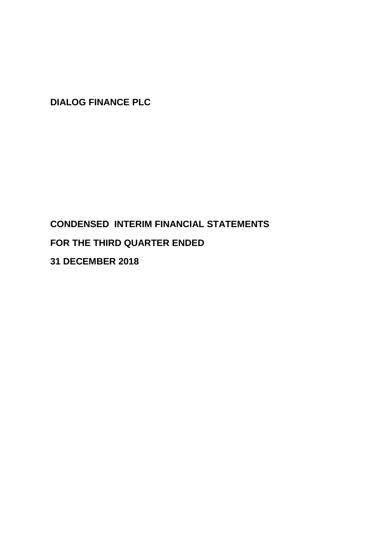# **CONDENSED INTERIM FINANCIAL STATEMENTS FOR THE THIRD QUARTER ENDED**

**31 DECEMBER 2018**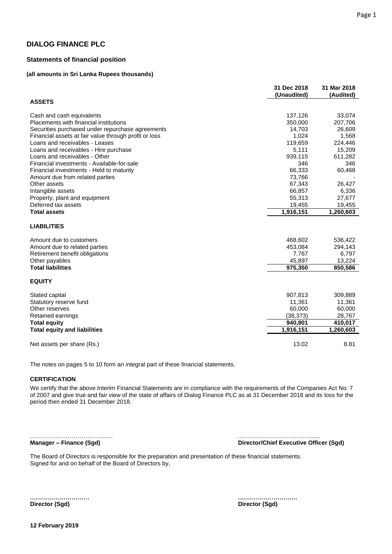### **Statements of financial position**

### **(all amounts in Sri Lanka Rupees thousands)**

|                                                       | 31 Dec 2018<br>(Unaudited) | 31 Mar 2018<br>(Audited) |
|-------------------------------------------------------|----------------------------|--------------------------|
| <b>ASSETS</b>                                         |                            |                          |
| Cash and cash equivalents                             | 137,126                    | 33,074                   |
| Placements with financial institutions                | 350,000                    | 207,706                  |
| Securities purchased under repurchase agreements      | 14,703                     | 26,609                   |
| Financial assets at fair value through profit or loss | 1,024                      | 1,568                    |
| Loans and receivables - Leases                        | 119,659                    | 224,446                  |
| Loans and receivables - Hire purchase                 | 5,111                      | 15,209                   |
| Loans and receivables - Other                         | 939,115                    | 611,282                  |
| Financial investments - Available-for-sale            | 346                        | 346                      |
| Financial investments - Held to maturity              | 66,333                     | 60,468                   |
| Amount due from related parties                       | 73,766                     |                          |
| Other assets                                          | 67,343                     | 26,427                   |
| Intangible assets                                     | 66,857                     | 6,336                    |
| Property, plant and equipment                         | 55,313                     | 27,677                   |
| Deferred tax assets                                   | 19,455                     | 19,455                   |
| <b>Total assets</b>                                   | 1,916,151                  | 1,260,603                |
| <b>LIABILITIES</b>                                    |                            |                          |
| Amount due to customers                               | 468,602                    | 536,422                  |
| Amount due to related parties                         | 453,084                    | 294,143                  |
| Retirement benefit obligations                        | 7,767                      | 6,797                    |
| Other payables                                        | 45,897                     | 13,224                   |
| <b>Total liabilities</b>                              | 975,350                    | 850,586                  |
| <b>EQUITY</b>                                         |                            |                          |
| Stated capital                                        | 907,813                    | 309,889                  |
| Statutory reserve fund                                | 11,361                     | 11,361                   |
| Other reserves                                        | 60,000                     | 60,000                   |
| Retained earnings                                     | (38, 373)                  | 28,767                   |
| <b>Total equity</b>                                   | 940,801                    | 410,017                  |
| <b>Total equity and liabilities</b>                   | 1,916,151                  | 1,260,603                |
| Net assets per share (Rs.)                            | 13.02                      | 8.81                     |

The notes on pages 5 to 10 form an integral part of these financial statements.

#### **CERTIFICATION**

We certify that the above Interim Financial Statements are in compliance with the requirements of the Companies Act No: 7 of 2007 and give true and fair view of the state of affairs of Dialog Finance PLC as at 31 December 2018 and its loss for the period then ended 31 December 2018.

**Manager – Finance (Sgd) Director/Chief Executive Officer (Sgd)**

………………………………....... ……………………………….......

The Board of Directors is responsible for the preparation and presentation of these financial statements. Signed for and on behalf of the Board of Directors by,

**Director (Sgd) Director (Sgd)**

**………………………… …………………………**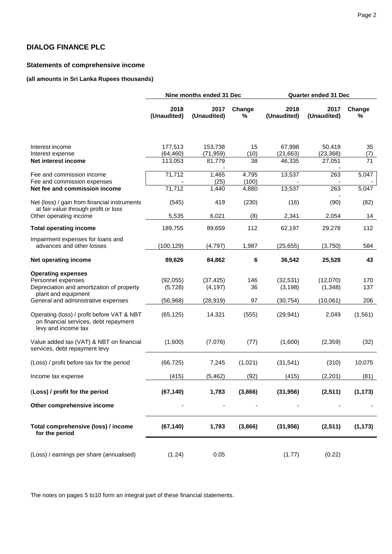# **Statements of comprehensive income**

# **(all amounts in Sri Lanka Rupees thousands)**

|                                                                                                                     | Nine months ended 31 Dec |                       |                | <b>Quarter ended 31 Dec</b> |                     |                 |  |
|---------------------------------------------------------------------------------------------------------------------|--------------------------|-----------------------|----------------|-----------------------------|---------------------|-----------------|--|
|                                                                                                                     | 2018<br>(Unaudited)      | 2017<br>(Unaudited)   | Change<br>%    | 2018<br>(Unaudited)         | 2017<br>(Unaudited) | Change<br>%     |  |
| Interest income<br>Interest expense<br>Net interest income                                                          | 177,513<br>(64, 460)     | 153,738<br>(71, 959)  | 15<br>(10)     | 67,998<br>(21, 663)         | 50,419<br>(23, 368) | 35<br>(7)<br>71 |  |
| Fee and commission income                                                                                           | 113,053<br>71,712        | 81,779<br>1,465       | 38<br>4,795    | 46,335<br>13,537            | 27,051<br>263       | 5,047           |  |
| Fee and commission expenses<br>Net fee and commission income                                                        | 71,712                   | (25)<br>1,440         | (100)<br>4,880 | 13,537                      | 263                 | 5,047           |  |
| Net (loss) / gain from financial instruments<br>at fair value through profit or loss                                | (545)                    | 419                   | (230)          | (16)                        | (90)                | (82)            |  |
| Other operating income                                                                                              | 5,535                    | 6,021                 | (8)            | 2,341                       | 2,054               | 14              |  |
| <b>Total operating income</b>                                                                                       | 189,755                  | 89,659                | 112            | 62,197                      | 29,278              | 112             |  |
| Impairment expenses for loans and<br>advances and other losses                                                      | (100,129)                | (4,797)               | 1,987          | (25, 655)                   | (3,750)             | 584             |  |
| <b>Net operating income</b>                                                                                         | 89,626                   | 84,862                | 6              | 36,542                      | 25,528              | 43              |  |
| <b>Operating expenses</b><br>Personnel expenses<br>Depreciation and amortization of property<br>plant and equipment | (92,055)<br>(5,728)      | (37, 425)<br>(4, 197) | 146<br>36      | (32, 531)<br>(3, 198)       | (12,070)<br>(1,348) | 170<br>137      |  |
| General and administrative expenses                                                                                 | (56, 968)                | (28, 919)             | 97             | (30, 754)                   | (10,061)            | 206             |  |
| Operating (loss) / profit before VAT & NBT<br>on financial services, debt repayment<br>levy and income tax          | (65, 125)                | 14,321                | (555)          | (29, 941)                   | 2,049               | (1, 561)        |  |
| Value added tax (VAT) & NBT on financial<br>services, debt repayment levy                                           | (1,600)                  | (7,076)               | (77)           | (1,600)                     | (2, 359)            | (32)            |  |
| (Loss) / profit before tax for the period                                                                           | (66, 725)                | 7,245                 | (1,021)        | (31, 541)                   | (310)               | 10,075          |  |
| Income tax expense                                                                                                  | (415)                    | (5, 462)              | (92)           | (415)                       | (2, 201)            | (81)            |  |
| (Loss) / profit for the period                                                                                      | (67, 140)                | 1,783                 | (3,866)        | (31, 956)                   | (2,511)             | (1, 173)        |  |
| Other comprehensive income                                                                                          |                          |                       |                |                             |                     |                 |  |
| Total comprehensive (loss) / income<br>for the period                                                               | (67, 140)                | 1,783                 | (3,866)        | (31, 956)                   | (2,511)             | (1, 173)        |  |
| (Loss) / earnings per share (annualised)                                                                            | (1.24)                   | 0.05                  |                | (1.77)                      | (0.22)              |                 |  |

The notes on pages 5 to10 form an integral part of these financial statements.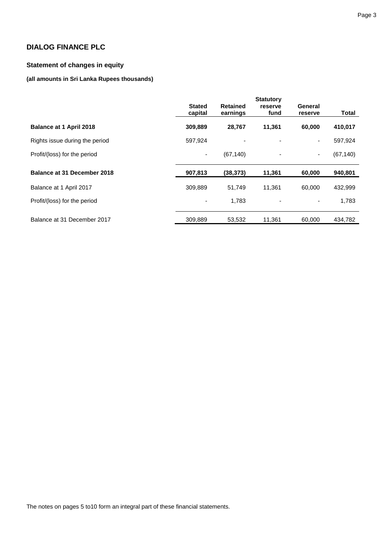# **Statement of changes in equity**

# **(all amounts in Sri Lanka Rupees thousands)**

|                                |                          |                             | <b>Statutory</b> |                          |              |
|--------------------------------|--------------------------|-----------------------------|------------------|--------------------------|--------------|
|                                | <b>Stated</b><br>capital | <b>Retained</b><br>earnings | reserve<br>fund  | General<br>reserve       | <b>Total</b> |
| Balance at 1 April 2018        | 309,889                  | 28,767                      | 11,361           | 60,000                   | 410,017      |
| Rights issue during the period | 597,924                  |                             |                  | $\overline{\phantom{a}}$ | 597,924      |
| Profit/(loss) for the period   |                          | (67, 140)                   |                  | ٠                        | (67, 140)    |
| Balance at 31 December 2018    | 907,813                  | (38, 373)                   | 11,361           | 60,000                   | 940,801      |
| Balance at 1 April 2017        | 309,889                  | 51.749                      | 11.361           | 60.000                   | 432,999      |
| Profit/(loss) for the period   |                          | 1,783                       |                  |                          | 1,783        |
| Balance at 31 December 2017    | 309.889                  | 53.532                      | 11,361           | 60.000                   | 434,782      |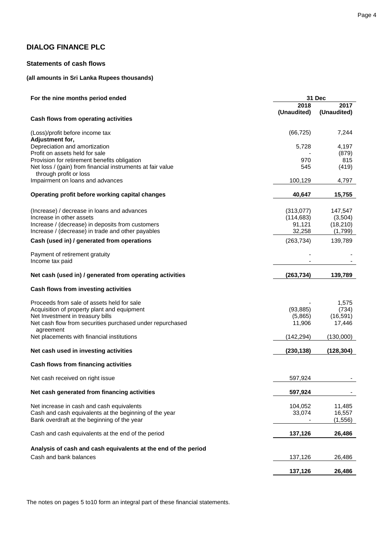# **Statements of cash flows**

# **(all amounts in Sri Lanka Rupees thousands)**

| For the nine months period ended                                                                                                                                                           | 31 Dec                                      |                                            |  |  |
|--------------------------------------------------------------------------------------------------------------------------------------------------------------------------------------------|---------------------------------------------|--------------------------------------------|--|--|
|                                                                                                                                                                                            | 2018<br>(Unaudited)                         | 2017<br>(Unaudited)                        |  |  |
| Cash flows from operating activities                                                                                                                                                       |                                             |                                            |  |  |
| (Loss)/profit before income tax<br>Adjustment for,                                                                                                                                         | (66, 725)                                   | 7,244                                      |  |  |
| Depreciation and amortization<br>Profit on assets held for sale                                                                                                                            | 5,728                                       | 4,197<br>(879)                             |  |  |
| Provision for retirement benefits obligation<br>Net loss / (gain) from financial instruments at fair value<br>through profit or loss                                                       | 970<br>545                                  | 815<br>(419)                               |  |  |
| Impairment on loans and advances                                                                                                                                                           | 100,129                                     | 4,797                                      |  |  |
| Operating profit before working capital changes                                                                                                                                            | 40,647                                      | 15,755                                     |  |  |
| (Increase) / decrease in loans and advances<br>Increase in other assets<br>Increase / (decrease) in deposits from customers<br>Increase / (decrease) in trade and other payables           | (313,077)<br>(114, 683)<br>91,121<br>32,258 | 147,547<br>(3,504)<br>(18, 210)<br>(1,799) |  |  |
| Cash (used in) / generated from operations                                                                                                                                                 | (263, 734)                                  | 139,789                                    |  |  |
| Payment of retirement gratuity<br>Income tax paid                                                                                                                                          |                                             |                                            |  |  |
| Net cash (used in) / generated from operating activities                                                                                                                                   | (263, 734)                                  | 139,789                                    |  |  |
| Cash flows from investing activities                                                                                                                                                       |                                             |                                            |  |  |
| Proceeds from sale of assets held for sale<br>Acquisition of property plant and equipment<br>Net Investment in treasury bills<br>Net cash flow from securities purchased under repurchased | (93, 885)<br>(5,865)<br>11,906              | 1,575<br>(734)<br>(16, 591)<br>17,446      |  |  |
| agreement<br>Net placements with financial institutions                                                                                                                                    | (142, 294)                                  | (130,000)                                  |  |  |
| Net cash used in investing activities                                                                                                                                                      | (230, 138)                                  | (128, 304)                                 |  |  |
| Cash flows from financing activities                                                                                                                                                       |                                             |                                            |  |  |
| Net cash received on right issue                                                                                                                                                           | 597,924                                     |                                            |  |  |
| Net cash generated from financing activities                                                                                                                                               | 597,924                                     |                                            |  |  |
| Net increase in cash and cash equivalents<br>Cash and cash equivalents at the beginning of the year<br>Bank overdraft at the beginning of the year                                         | 104,052<br>33,074                           | 11,485<br>16,557<br>(1, 556)               |  |  |
| Cash and cash equivalents at the end of the period                                                                                                                                         | 137,126                                     | 26,486                                     |  |  |
| Analysis of cash and cash equivalents at the end of the period                                                                                                                             |                                             |                                            |  |  |
| Cash and bank balances                                                                                                                                                                     | 137,126                                     | 26,486                                     |  |  |
|                                                                                                                                                                                            | 137,126                                     | 26,486                                     |  |  |

The notes on pages 5 to10 form an integral part of these financial statements.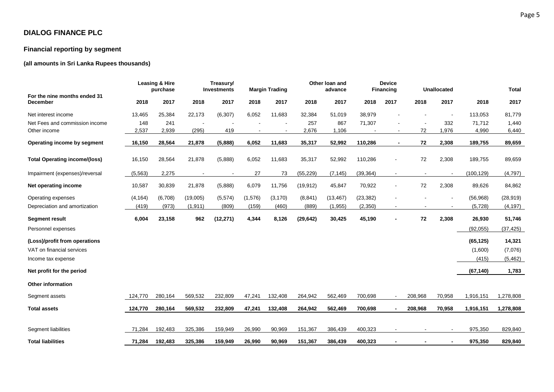# **Financial reporting by segment**

# **(all amounts in Sri Lanka Rupees thousands)**

|                                                 |          | <b>Leasing &amp; Hire</b><br>purchase |                          | Treasury/<br>Investments |         | <b>Margin Trading</b> |           | Other loan and<br>advance |           | <b>Device</b><br><b>Financing</b> |         | <b>Unallocated</b> |            | <b>Total</b> |
|-------------------------------------------------|----------|---------------------------------------|--------------------------|--------------------------|---------|-----------------------|-----------|---------------------------|-----------|-----------------------------------|---------|--------------------|------------|--------------|
| For the nine months ended 31<br><b>December</b> | 2018     | 2017                                  | 2018                     | 2017                     | 2018    | 2017                  | 2018      | 2017                      | 2018      | 2017                              | 2018    | 2017               | 2018       | 2017         |
| Net interest income                             | 13,465   | 25,384                                | 22,173                   | (6, 307)                 | 6,052   | 11,683                | 32,384    | 51,019                    | 38,979    |                                   |         |                    | 113,053    | 81,779       |
| Net Fees and commission income                  | 148      | 241                                   |                          |                          |         |                       | 257       | 867                       | 71,307    |                                   |         | 332                | 71,712     | 1,440        |
| Other income                                    | 2,537    | 2,939                                 | (295)                    | 419                      |         |                       | 2,676     | 1,106                     |           | $\sim$                            | 72      | 1,976              | 4,990      | 6,440        |
| Operating income by segment                     | 16,150   | 28,564                                | 21,878                   | (5,888)                  | 6,052   | 11,683                | 35,317    | 52,992                    | 110,286   | $\blacksquare$                    | 72      | 2,308              | 189,755    | 89,659       |
| <b>Total Operating income/(loss)</b>            | 16,150   | 28,564                                | 21,878                   | (5,888)                  | 6,052   | 11,683                | 35,317    | 52,992                    | 110,286   |                                   | 72      | 2,308              | 189,755    | 89,659       |
| Impairment (expenses)/reversal                  | (5, 563) | 2,275                                 | $\overline{\phantom{a}}$ | $\blacksquare$           | 27      | 73                    | (55, 229) | (7, 145)                  | (39, 364) | $\blacksquare$                    | $\sim$  | $\sim$             | (100, 129) | (4,797)      |
| Net operating income                            | 10,587   | 30,839                                | 21,878                   | (5,888)                  | 6,079   | 11,756                | (19, 912) | 45,847                    | 70,922    | $\overline{\phantom{a}}$          | $72\,$  | 2,308              | 89,626     | 84,862       |
| Operating expenses                              | (4, 164) | (6,708)                               | (19,005)                 | (5,574)                  | (1,576) | (3, 170)              | (8, 841)  | (13, 467)                 | (23, 382) |                                   |         |                    | (56, 968)  | (28, 919)    |
| Depreciation and amortization                   | (419)    | (973)                                 | (1, 911)                 | (809)                    | (159)   | (460)                 | (889)     | (1,955)                   | (2,350)   | $\blacksquare$                    |         | $\sim$             | (5,728)    | (4, 197)     |
| <b>Segment result</b>                           | 6,004    | 23,158                                | 962                      | (12, 271)                | 4,344   | 8,126                 | (29, 642) | 30,425                    | 45,190    |                                   | 72      | 2,308              | 26,930     | 51,746       |
| Personnel expenses                              |          |                                       |                          |                          |         |                       |           |                           |           |                                   |         |                    | (92, 055)  | (37, 425)    |
| (Loss)/profit from operations                   |          |                                       |                          |                          |         |                       |           |                           |           |                                   |         |                    | (65, 125)  | 14,321       |
| VAT on financial services                       |          |                                       |                          |                          |         |                       |           |                           |           |                                   |         |                    | (1,600)    | (7,076)      |
| Income tax expense                              |          |                                       |                          |                          |         |                       |           |                           |           |                                   |         |                    | (415)      | (5, 462)     |
| Net profit for the period                       |          |                                       |                          |                          |         |                       |           |                           |           |                                   |         |                    | (67, 140)  | 1,783        |
| <b>Other information</b>                        |          |                                       |                          |                          |         |                       |           |                           |           |                                   |         |                    |            |              |
| Segment assets                                  | 124,770  | 280,164                               | 569,532                  | 232,809                  | 47,241  | 132,408               | 264,942   | 562,469                   | 700,698   |                                   | 208,968 | 70,958             | 1,916,151  | 1,278,808    |
| <b>Total assets</b>                             | 124,770  | 280,164                               | 569,532                  | 232,809                  | 47,241  | 132,408               | 264,942   | 562,469                   | 700,698   | $\overline{\phantom{a}}$          | 208,968 | 70,958             | 1,916,151  | 1,278,808    |
|                                                 |          |                                       |                          |                          |         |                       |           |                           |           |                                   |         |                    |            |              |
| Segment liabilities                             | 71,284   | 192,483                               | 325,386                  | 159,949                  | 26,990  | 90,969                | 151,367   | 386,439                   | 400,323   |                                   |         |                    | 975,350    | 829,840      |
| <b>Total liabilities</b>                        | 71,284   | 192,483                               | 325,386                  | 159,949                  | 26,990  | 90,969                | 151,367   | 386,439                   | 400,323   |                                   |         |                    | 975,350    | 829,840      |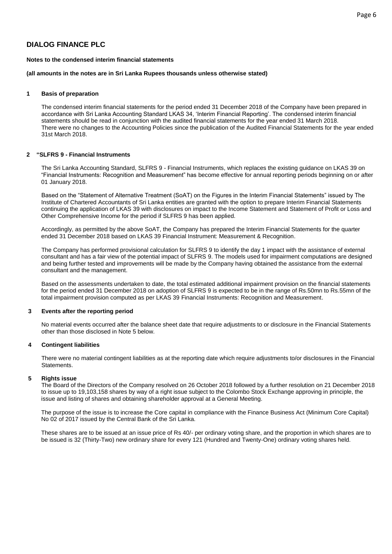#### **Notes to the condensed interim financial statements**

#### **(all amounts in the notes are in Sri Lanka Rupees thousands unless otherwise stated)**

### **1 Basis of preparation**

The condensed interim financial statements for the period ended 31 December 2018 of the Company have been prepared in accordance with Sri Lanka Accounting Standard LKAS 34, 'Interim Financial Reporting'. The condensed interim financial statements should be read in conjunction with the audited financial statements for the year ended 31 March 2018. There were no changes to the Accounting Policies since the publication of the Audited Financial Statements for the year ended 31st March 2018.

#### **2 "SLFRS 9 - Financial Instruments**

The Sri Lanka Accounting Standard, SLFRS 9 - Financial Instruments, which replaces the existing guidance on LKAS 39 on "Financial Instruments: Recognition and Measurement" has become effective for annual reporting periods beginning on or after 01 January 2018.

Based on the "Statement of Alternative Treatment (SoAT) on the Figures in the Interim Financial Statements" issued by The Institute of Chartered Accountants of Sri Lanka entities are granted with the option to prepare Interim Financial Statements continuing the application of LKAS 39 with disclosures on impact to the Income Statement and Statement of Profit or Loss and Other Comprehensive Income for the period if SLFRS 9 has been applied.

Accordingly, as permitted by the above SoAT, the Company has prepared the Interim Financial Statements for the quarter ended 31 December 2018 based on LKAS 39 Financial Instrument: Measurement & Recognition.

The Company has performed provisional calculation for SLFRS 9 to identify the day 1 impact with the assistance of external consultant and has a fair view of the potential impact of SLFRS 9. The models used for impairment computations are designed and being further tested and improvements will be made by the Company having obtained the assistance from the external consultant and the management.

Based on the assessments undertaken to date, the total estimated additional impairment provision on the financial statements for the period ended 31 December 2018 on adoption of SLFRS 9 is expected to be in the range of Rs.50mn to Rs.55mn of the total impairment provision computed as per LKAS 39 Financial Instruments: Recognition and Measurement.

#### **3 Events after the reporting period**

No material events occurred after the balance sheet date that require adjustments to or disclosure in the Financial Statements other than those disclosed in Note 5 below.

#### **4 Contingent liabilities**

There were no material contingent liabilities as at the reporting date which require adjustments to/or disclosures in the Financial Statements.

#### **5 Rights issue**

The Board of the Directors of the Company resolved on 26 October 2018 followed by a further resolution on 21 December 2018 to issue up to 19,103,158 shares by way of a right issue subject to the Colombo Stock Exchange approving in principle, the issue and listing of shares and obtaining shareholder approval at a General Meeting.

The purpose of the issue is to increase the Core capital in compliance with the Finance Business Act (Minimum Core Capital) No 02 of 2017 issued by the Central Bank of the Sri Lanka.

These shares are to be issued at an issue price of Rs 40/- per ordinary voting share, and the proportion in which shares are to be issued is 32 (Thirty-Two) new ordinary share for every 121 (Hundred and Twenty-One) ordinary voting shares held.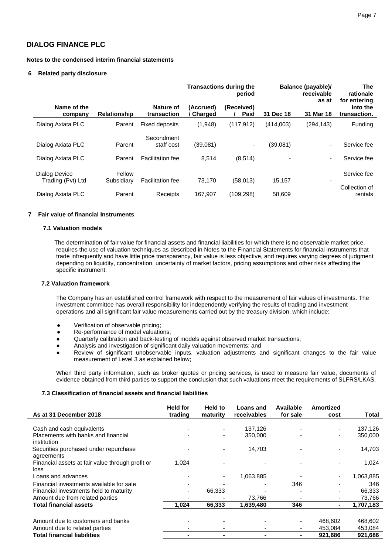#### **Notes to the condensed interim financial statements**

#### **6 Related party disclosure**

|                                    |                      |                          |                      | <b>Transactions during the</b><br>period | Balance (payable)/ | <b>The</b><br>rationale<br>for entering |                          |
|------------------------------------|----------------------|--------------------------|----------------------|------------------------------------------|--------------------|-----------------------------------------|--------------------------|
| Name of the<br>company             | <b>Relationship</b>  | Nature of<br>transaction | (Accrued)<br>Charged | (Received)<br>Paid                       | 31 Dec 18          | as at<br>31 Mar 18                      |                          |
| Dialog Axiata PLC                  | Parent               | Fixed deposits           | (1,948)              | (117, 912)                               | (414,003)          | (294, 143)                              | Funding                  |
| Dialog Axiata PLC                  | Parent               | Secondment<br>staff cost | (39,081)             | ۰.                                       | (39,081)           | ٠                                       | Service fee              |
| Dialog Axiata PLC                  | Parent               | <b>Facilitation fee</b>  | 8,514                | (8,514)                                  |                    | ٠                                       | Service fee              |
| Dialog Device<br>Trading (Pvt) Ltd | Fellow<br>Subsidiary | <b>Facilitation fee</b>  | 73,170               | (58,013)                                 | 15,157             |                                         | Service fee              |
| Dialog Axiata PLC                  | Parent               | Receipts                 | 167,907              | (109, 298)                               | 58,609             |                                         | Collection of<br>rentals |

#### **7 Fair value of financial Instruments**

#### **7.1 Valuation models**

 The determination of fair value for financial assets and financial liabilities for which there is no observable market price, requires the use of valuation techniques as described in Notes to the Financial Statements for financial instruments that trade infrequently and have little price transparency, fair value is less objective, and requires varying degrees of judgment depending on liquidity, concentration, uncertainty of market factors, pricing assumptions and other risks affecting the specific instrument.

#### **7.2 Valuation framework**

The Company has an established control framework with respect to the measurement of fair values of investments. The investment committee has overall responsibility for independently verifying the results of trading and investment operations and all significant fair value measurements carried out by the treasury division, which include:

- Verification of observable pricing;
- Re-performance of model valuations;
- Quarterly calibration and back-testing of models against observed market transactions;
- Analysis and investigation of significant daily valuation movements; and
- Review of significant unobservable inputs, valuation adjustments and significant changes to the fair value measurement of Level 3 as explained below;

When third party information, such as broker quotes or pricing services, is used to measure fair value, documents of evidence obtained from third parties to support the conclusion that such valuations meet the requirements of SLFRS/LKAS.

#### **7.3 Classification of financial assets and financial liabilities**

| As at 31 December 2018                           | <b>Held for</b><br>trading | Held to<br>maturity | Loans and<br>receivables | Available<br>for sale | Amortized<br>cost | Total     |
|--------------------------------------------------|----------------------------|---------------------|--------------------------|-----------------------|-------------------|-----------|
|                                                  |                            |                     |                          |                       |                   |           |
| Cash and cash equivalents                        |                            |                     | 137,126                  |                       |                   | 137,126   |
| Placements with banks and financial              |                            | ۰                   | 350,000                  |                       |                   | 350,000   |
| institution                                      |                            |                     |                          |                       |                   |           |
| Securities purchased under repurchase            |                            |                     | 14,703                   |                       |                   | 14,703    |
| agreements                                       |                            |                     |                          |                       |                   |           |
| Financial assets at fair value through profit or | 1.024                      |                     |                          |                       |                   | 1,024     |
| loss                                             |                            |                     |                          |                       |                   |           |
| Loans and advances                               |                            |                     | 1,063,885                |                       |                   | 1,063,885 |
| Financial investments available for sale         |                            |                     |                          | 346                   |                   | 346       |
| Financial investments held to maturity           |                            | 66,333              |                          |                       |                   | 66,333    |
| Amount due from related parties                  |                            |                     | 73.766                   |                       |                   | 73,766    |
| <b>Total financial assets</b>                    | 1.024                      | 66,333              | 1,639,480                | 346                   |                   | 1,707,183 |
|                                                  |                            |                     |                          |                       |                   |           |
| Amount due to customers and banks                |                            |                     |                          |                       | 468.602           | 468,602   |
| Amount due to related parties                    |                            |                     |                          |                       | 453,084           | 453,084   |
| <b>Total financial liabilities</b>               |                            |                     |                          | $\blacksquare$        | 921,686           | 921,686   |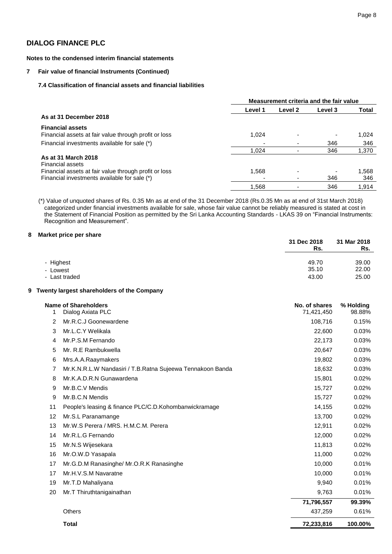#### **Notes to the condensed interim financial statements**

#### **7 Fair value of financial Instruments (Continued)**

#### **7.4 Classification of financial assets and financial liabilities**

|                                                       | Measurement criteria and the fair value |         |         |       |  |  |  |
|-------------------------------------------------------|-----------------------------------------|---------|---------|-------|--|--|--|
|                                                       | Level 1                                 | Level 2 | Level 3 | Total |  |  |  |
| As at 31 December 2018                                |                                         |         |         |       |  |  |  |
| <b>Financial assets</b>                               |                                         |         |         |       |  |  |  |
| Financial assets at fair value through profit or loss | 1,024                                   |         |         | 1.024 |  |  |  |
| Financial investments available for sale (*)          |                                         |         | 346     | 346   |  |  |  |
|                                                       | 1.024                                   |         | 346     | 1,370 |  |  |  |
| As at 31 March 2018<br>Financial assets               |                                         |         |         |       |  |  |  |
| Financial assets at fair value through profit or loss | 1,568                                   |         |         | 1,568 |  |  |  |
| Financial investments available for sale (*)          |                                         |         | 346     | 346   |  |  |  |
|                                                       | 1,568                                   |         | 346     | 1,914 |  |  |  |

(\*) Value of unquoted shares of Rs. 0.35 Mn as at end of the 31 December 2018 (Rs.0.35 Mn as at end of 31st March 2018) categorized under financial investments available for sale, whose fair value cannot be reliably measured is stated at cost in the Statement of Financial Position as permitted by the Sri Lanka Accounting Standards - LKAS 39 on "Financial Instruments: Recognition and Measurement".

#### **8 Market price per share**

|               | 31 Dec 2018<br>Rs. | 31 Mar 2018<br>Rs. |
|---------------|--------------------|--------------------|
| - Highest     | 49.70              | 39.00              |
| - Lowest      | 35.10              | 22.00              |
| - Last traded | 43.00              | 25.00              |

#### **9 Twenty largest shareholders of the Company**

| 1  | Name of Shareholders<br>Dialog Axiata PLC                  | No. of shares<br>71,421,450 | % Holding<br>98.88% |
|----|------------------------------------------------------------|-----------------------------|---------------------|
| 2  | Mr.R.C.J Goonewardene                                      | 108,716                     | 0.15%               |
| 3  | Mr.L.C.Y Welikala                                          | 22,600                      | 0.03%               |
| 4  | Mr.P.S.M Fernando                                          | 22,173                      | 0.03%               |
| 5  | Mr. R.E Rambukwella                                        | 20,647                      | 0.03%               |
| 6  | Mrs.A.A.Raaymakers                                         | 19,802                      | 0.03%               |
| 7  | Mr.K.N.R.L.W Nandasiri / T.B.Ratna Sujeewa Tennakoon Banda | 18,632                      | 0.03%               |
| 8  | Mr.K.A.D.R.N Gunawardena                                   | 15,801                      | 0.02%               |
| 9  | Mr.B.C.V Mendis                                            | 15,727                      | 0.02%               |
| 9  | Mr.B.C.N Mendis                                            | 15,727                      | 0.02%               |
| 11 | People's leasing & finance PLC/C.D.Kohombanwickramage      | 14,155                      | 0.02%               |
| 12 | Mr.S.L Paranamange                                         | 13,700                      | 0.02%               |
| 13 | Mr.W.S Perera / MRS. H.M.C.M. Perera                       | 12,911                      | 0.02%               |
| 14 | Mr.R.L.G Fernando                                          | 12,000                      | 0.02%               |
| 15 | Mr.N.S Wijesekara                                          | 11,813                      | 0.02%               |
| 16 | Mr.O.W.D Yasapala                                          | 11,000                      | 0.02%               |
| 17 | Mr.G.D.M Ranasinghe/ Mr.O.R.K Ranasinghe                   | 10,000                      | 0.01%               |
| 17 | Mr.H.V.S.M Navaratne                                       | 10,000                      | 0.01%               |
| 19 | Mr.T.D Mahaliyana                                          | 9,940                       | 0.01%               |
| 20 | Mr.T Thiruthtanigainathan                                  | 9,763                       | 0.01%               |
|    |                                                            | 71,796,557                  | 99.39%              |
|    | <b>Others</b>                                              | 437,259                     | 0.61%               |
|    | <b>Total</b>                                               | 72,233,816                  | 100.00%             |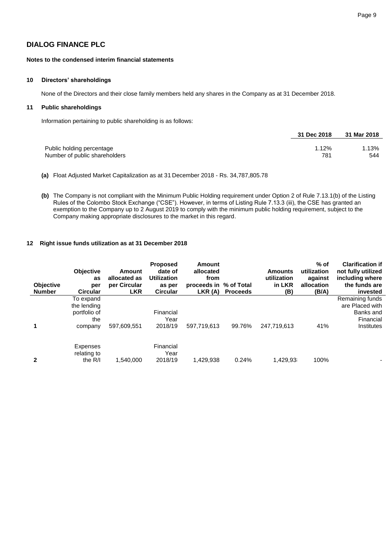#### **Notes to the condensed interim financial statements**

#### **10 Directors' shareholdings**

None of the Directors and their close family members held any shares in the Company as at 31 December 2018.

### **11 Public shareholdings**

Information pertaining to public shareholding is as follows:

|                               | 31 Dec 2018 | 31 Mar 2018 |
|-------------------------------|-------------|-------------|
| Public holding percentage     | 1.12%       | 1.13%       |
| Number of public shareholders | 781         | 544         |

**(a)** Float Adjusted Market Capitalization as at 31 December 2018 - Rs. 34,787,805.78

**(b)** The Company is not compliant with the Minimum Public Holding requirement under Option 2 of Rule 7.13.1(b) of the Listing Rules of the Colombo Stock Exchange ("CSE"). However, in terms of Listing Rule 7.13.3 (iii), the CSE has granted an exemption to the Company up to 2 August 2019 to comply with the minimum public holding requirement, subject to the Company making appropriate disclosures to the market in this regard.

#### **12 Right issue funds utilization as at 31 December 2018**

| <b>Objective</b><br><b>Number</b> | <b>Objective</b><br>as<br>per<br><b>Circular</b>           | Amount<br>allocated as<br>per Circular<br><b>LKR</b> | <b>Proposed</b><br>date of<br><b>Utilization</b><br>as per<br><b>Circular</b> | Amount<br>allocated<br>from<br>proceeds in % of Total<br>LKR (A) | <b>Proceeds</b> | <b>Amounts</b><br>utilization<br>in LKR<br>(B) | $%$ of<br>utilization<br>against<br>allocation<br>(B/A) | <b>Clarification if</b><br>not fully utilized<br>including where<br>the funds are<br>invested |
|-----------------------------------|------------------------------------------------------------|------------------------------------------------------|-------------------------------------------------------------------------------|------------------------------------------------------------------|-----------------|------------------------------------------------|---------------------------------------------------------|-----------------------------------------------------------------------------------------------|
| 1                                 | To expand<br>the lending<br>portfolio of<br>the<br>company | 597,609,551                                          | Financial<br>Year<br>2018/19                                                  | 597.719.613                                                      | 99.76%          | 247.719.613                                    | 41%                                                     | Remaining funds<br>are Placed with<br>Banks and<br>Financial<br>Institutes                    |
| $\mathbf{2}$                      | <b>Expenses</b><br>relating to<br>the $R/I$                | 1.540.000                                            | Financial<br>Year<br>2018/19                                                  | 1.429.938                                                        | 0.24%           | 1,429,93                                       | 100%                                                    |                                                                                               |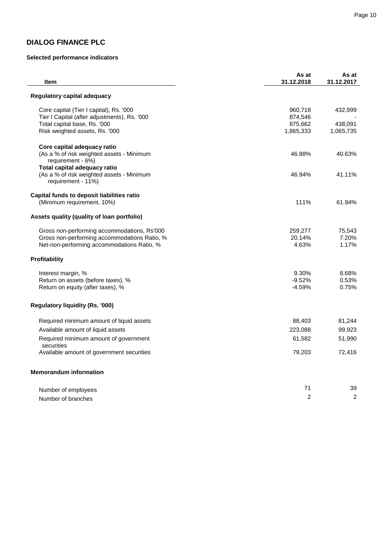# **Selected performance indicators**

| <b>Item</b>                                                     | As at<br>31.12.2018 | As at<br>31.12.2017 |
|-----------------------------------------------------------------|---------------------|---------------------|
| Regulatory capital adequacy                                     |                     |                     |
| Core capital (Tier I capital), Rs. '000                         | 960,718             | 432,999             |
| Tier I Capital (after adjustments), Rs. '000                    | 874,546             |                     |
| Total capital base, Rs. '000                                    | 875,662             | 438,091             |
| Risk weighted assets, Rs. '000                                  | 1,865,333           | 1,065,735           |
| Core capital adequacy ratio                                     |                     |                     |
| (As a % of risk weighted assets - Minimum                       | 46.88%              | 40.63%              |
| requirement - 6%)                                               |                     |                     |
| Total capital adequacy ratio                                    |                     |                     |
| (As a % of risk weighted assets - Minimum<br>requirement - 11%) | 46.94%              | 41.11%              |
| Capital funds to deposit liabilities ratio                      |                     |                     |
| (Minimum requirement, 10%)                                      | 111%                | 61.94%              |
| Assets quality (quality of loan portfolio)                      |                     |                     |
| Gross non-performing accommodations, Rs'000                     | 259,277             | 75,543              |
| Gross non-performing accommodations Ratio, %                    | 20.14%              | 7.20%               |
| Net-non-performing accommodations Ratio, %                      | 4.63%               | 1.17%               |
| Profitability                                                   |                     |                     |
| Interest margin, %                                              | 9.30%               | 8.68%               |
| Return on assets (before taxes), %                              | $-9.52%$            | 0.53%               |
| Return on equity (after taxes), %                               | $-4.59%$            | 0.75%               |
| <b>Regulatory liquidity (Rs. '000)</b>                          |                     |                     |
| Required minimum amount of liquid assets                        | 88,403              | 81,244              |
| Available amount of liquid assets                               | 223,088             | 99,923              |
| Required minimum amount of government<br>securities             | 61,582              | 51,990              |
| Available amount of government securities                       | 79,203              | 72,416              |
| <b>Memorandum information</b>                                   |                     |                     |
|                                                                 | 71                  | 39                  |
| Number of employees                                             | 2                   | $\overline{c}$      |
| Number of branches                                              |                     |                     |